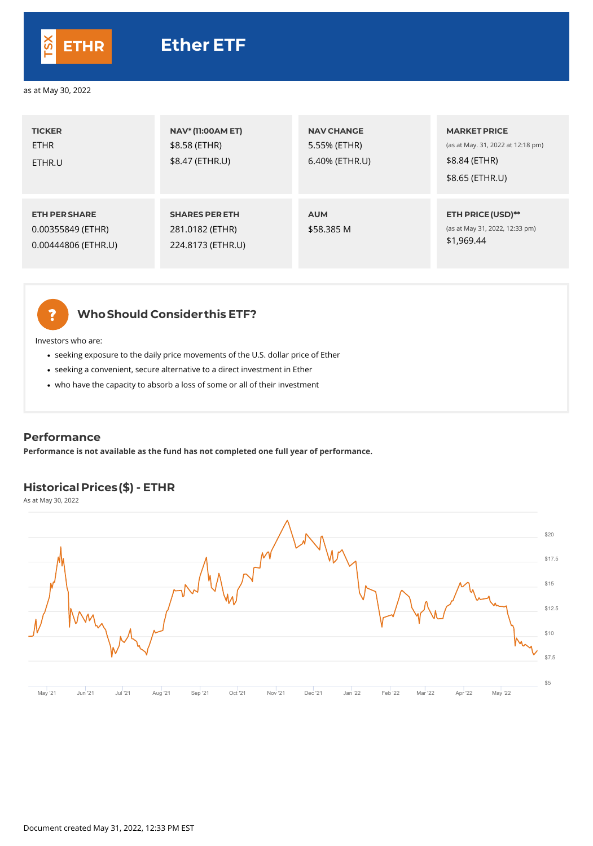| <b>TICKER</b><br><b>ETHR</b><br>ETHR.U                           | <b>NAV* (11:00AM ET)</b><br>\$8.58 (ETHR)<br>\$8.47 (ETHR.U)  | <b>NAV CHANGE</b><br>5.55% (ETHR)<br>6.40% (ETHR.U) | <b>MARKET PRICE</b><br>(as at May. 31, 2022 at 12:18 pm)<br>\$8.84 (ETHR)<br>\$8.65 (ETHR.U) |
|------------------------------------------------------------------|---------------------------------------------------------------|-----------------------------------------------------|----------------------------------------------------------------------------------------------|
| <b>ETH PER SHARE</b><br>0.00355849 (ETHR)<br>0.00444806 (ETHR.U) | <b>SHARES PER ETH</b><br>281.0182 (ETHR)<br>224.8173 (ETHR.U) | <b>AUM</b><br>\$58.385 M                            | <b>ETH PRICE (USD)**</b><br>(as at May 31, 2022, 12:33 pm)<br>\$1,969.44                     |



- seeking exposure to the daily price movements of the U.S. dollar price of Ether
- seeking a convenient, secure alternative to a direct investment in Ether
- who have the capacity to absorb a loss of some or all of their investment

## **WhoShould Considerthis ETF?**

Investors who are:



|  | \$20   |
|--|--------|
|  | \$17.5 |
|  |        |



#### as at May 30, 2022

## **Historical Prices (\$) - ETHR**

As at May 30, 2022

### **Performance**

**Performance is not available as the fund has not completed one full year of performance.**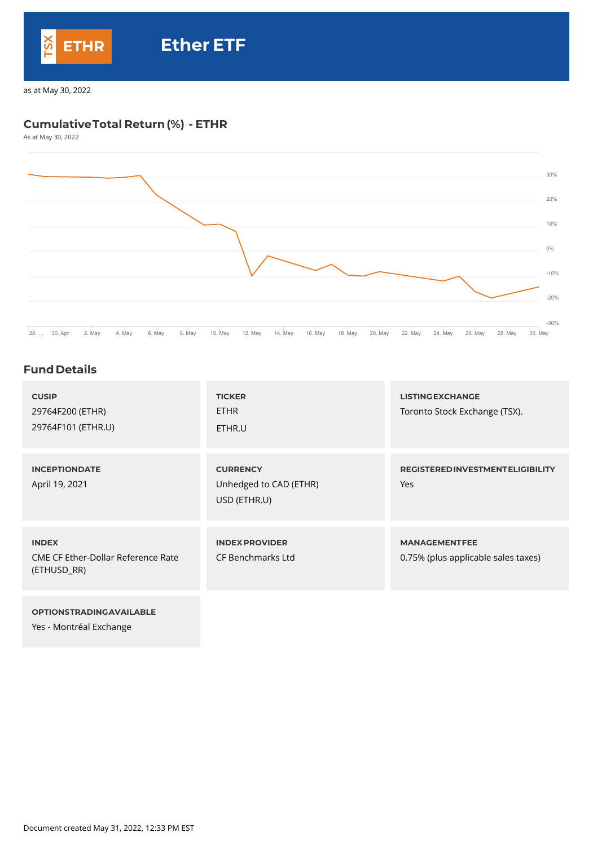## **CumulativeTotal Return(%) - ETHR**

As at May 30, 2022



## **Fund Details**

| <b>CUSIP</b><br>29764F200 (ETHR)<br>29764F101 (ETHR.U)                   | <b>TICKER</b><br><b>ETHR</b><br>ETHR.U                    | <b>LISTING EXCHANGE</b><br>Toronto Stock Exchange (TSX).    |
|--------------------------------------------------------------------------|-----------------------------------------------------------|-------------------------------------------------------------|
| <b>INCEPTIONDATE</b><br>April 19, 2021                                   | <b>CURRENCY</b><br>Unhedged to CAD (ETHR)<br>USD (ETHR.U) | <b>REGISTERED INVESTMENT ELIGIBILITY</b><br>Yes             |
| <b>INDEX</b><br><b>CME CF Ether-Dollar Reference Rate</b><br>(ETHUSD_RR) | <b>INDEX PROVIDER</b><br><b>CF Benchmarks Ltd</b>         | <b>MANAGEMENTFEE</b><br>0.75% (plus applicable sales taxes) |

#### **OPTIONSTRADINGAVAILABLE**

Yes - Montréal Exchange

Document created May 31, 2022, 12:33 PM EST



# **ETHR Ether ETF**

as at May 30, 2022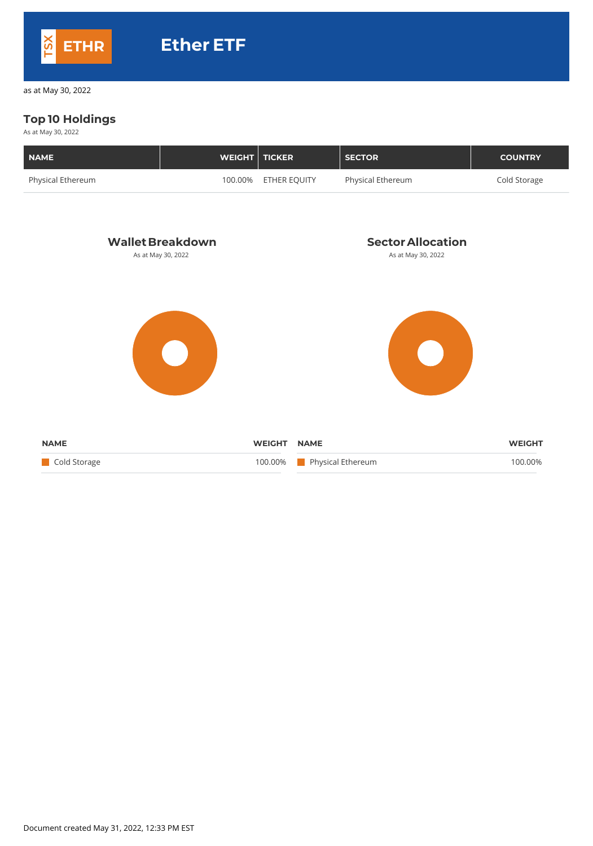## **Top 10 Holdings**

As at May 30, 2022

| NAME                     | <b>WEIGHT   TICKER</b> |                      | <b>SECTOR</b>            | <b>COUNTRY</b> |
|--------------------------|------------------------|----------------------|--------------------------|----------------|
| <b>Physical Ethereum</b> |                        | 100.00% ETHER EQUITY | <b>Physical Ethereum</b> | Cold Storage   |



Document created May 31, 2022, 12:33 PM EST



as at May 30, 2022